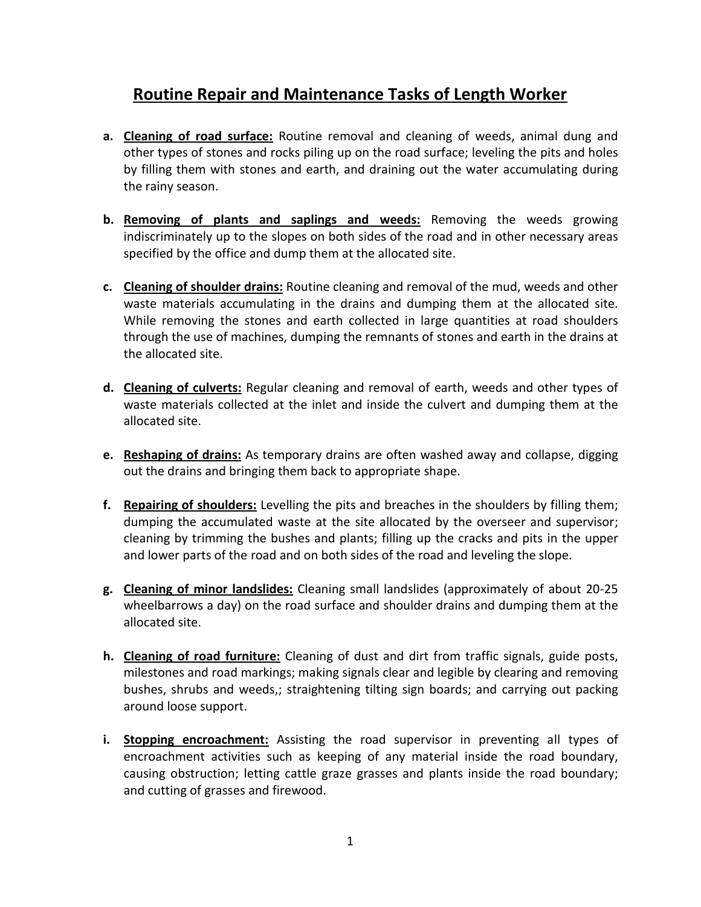# **Routine Repair and Maintenance Tasks of Length Worker**

- **a. Cleaning of road surface:** Routine removal and cleaning of weeds, animal dung and other types of stones and rocks piling up on the road surface; leveling the pits and holes by filling them with stones and earth, and draining out the water accumulating during the rainy season.
- **b. Removing of plants and saplings and weeds:** Removing the weeds growing indiscriminately up to the slopes on both sides of the road and in other necessary areas specified by the office and dump them at the allocated site.
- **c. Cleaning of shoulder drains:** Routine cleaning and removal of the mud, weeds and other waste materials accumulating in the drains and dumping them at the allocated site. While removing the stones and earth collected in large quantities at road shoulders through the use of machines, dumping the remnants of stones and earth in the drains at the allocated site.
- **d. Cleaning of culverts:** Regular cleaning and removal of earth, weeds and other types of waste materials collected at the inlet and inside the culvert and dumping them at the allocated site.
- **e. Reshaping of drains:** As temporary drains are often washed away and collapse, digging out the drains and bringing them back to appropriate shape.
- **f. Repairing of shoulders:** Levelling the pits and breaches in the shoulders by filling them; dumping the accumulated waste at the site allocated by the overseer and supervisor; cleaning by trimming the bushes and plants; filling up the cracks and pits in the upper and lower parts of the road and on both sides of the road and leveling the slope.
- **g. Cleaning of minor landslides:** Cleaning small landslides (approximately of about 20-25 wheelbarrows a day) on the road surface and shoulder drains and dumping them at the allocated site.
- **h. Cleaning of road furniture:** Cleaning of dust and dirt from traffic signals, guide posts, milestones and road markings; making signals clear and legible by clearing and removing bushes, shrubs and weeds,; straightening tilting sign boards; and carrying out packing around loose support.
- **i. Stopping encroachment:** Assisting the road supervisor in preventing all types of encroachment activities such as keeping of any material inside the road boundary, causing obstruction; letting cattle graze grasses and plants inside the road boundary; and cutting of grasses and firewood.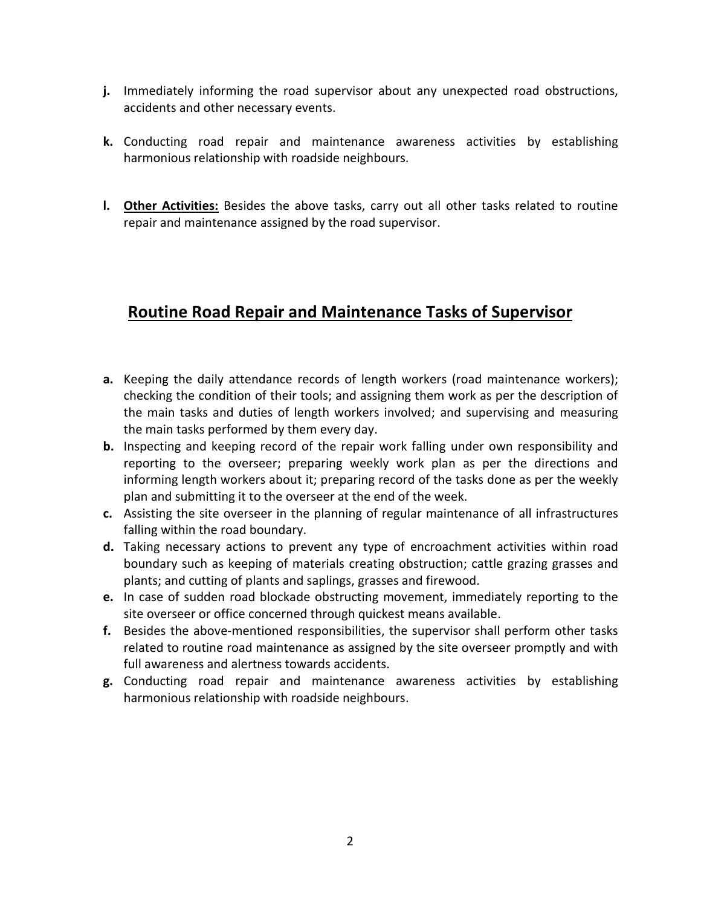- **j.** Immediately informing the road supervisor about any unexpected road obstructions, accidents and other necessary events.
- **k.** Conducting road repair and maintenance awareness activities by establishing harmonious relationship with roadside neighbours.
- **l. Other Activities:** Besides the above tasks, carry out all other tasks related to routine repair and maintenance assigned by the road supervisor.

# **Routine Road Repair and Maintenance Tasks of Supervisor**

- **a.** Keeping the daily attendance records of length workers (road maintenance workers); checking the condition of their tools; and assigning them work as per the description of the main tasks and duties of length workers involved; and supervising and measuring the main tasks performed by them every day.
- **b.** Inspecting and keeping record of the repair work falling under own responsibility and reporting to the overseer; preparing weekly work plan as per the directions and informing length workers about it; preparing record of the tasks done as per the weekly plan and submitting it to the overseer at the end of the week.
- **c.** Assisting the site overseer in the planning of regular maintenance of all infrastructures falling within the road boundary.
- **d.** Taking necessary actions to prevent any type of encroachment activities within road boundary such as keeping of materials creating obstruction; cattle grazing grasses and plants; and cutting of plants and saplings, grasses and firewood.
- **e.** In case of sudden road blockade obstructing movement, immediately reporting to the site overseer or office concerned through quickest means available.
- **f.** Besides the above-mentioned responsibilities, the supervisor shall perform other tasks related to routine road maintenance as assigned by the site overseer promptly and with full awareness and alertness towards accidents.
- **g.** Conducting road repair and maintenance awareness activities by establishing harmonious relationship with roadside neighbours.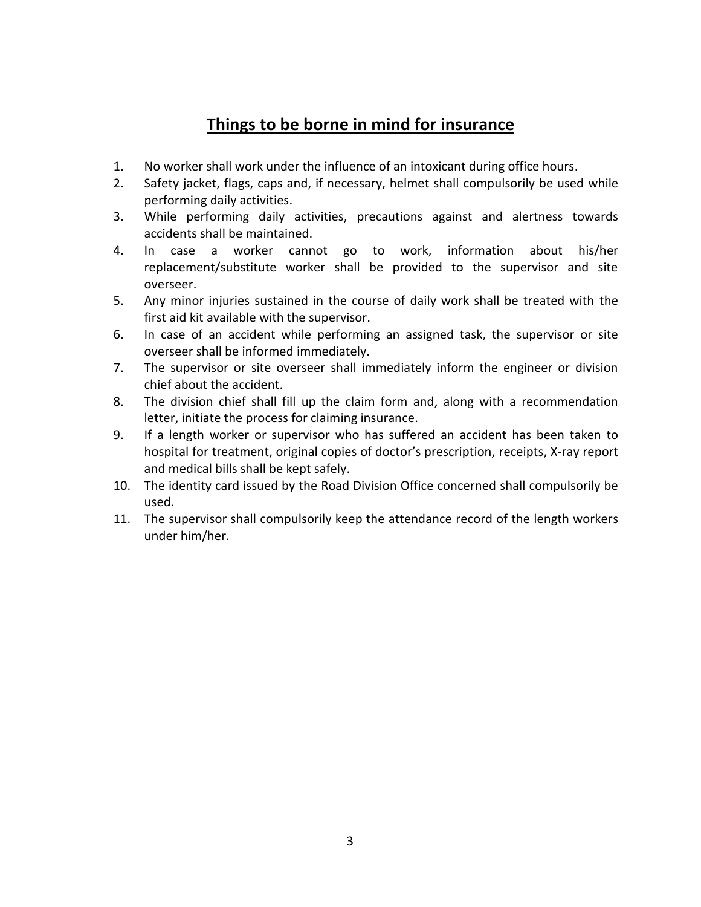# **Things to be borne in mind for insurance**

- 1. No worker shall work under the influence of an intoxicant during office hours.
- 2. Safety jacket, flags, caps and, if necessary, helmet shall compulsorily be used while performing daily activities.
- 3. While performing daily activities, precautions against and alertness towards accidents shall be maintained.
- 4. In case a worker cannot go to work, information about his/her replacement/substitute worker shall be provided to the supervisor and site overseer.
- 5. Any minor injuries sustained in the course of daily work shall be treated with the first aid kit available with the supervisor.
- 6. In case of an accident while performing an assigned task, the supervisor or site overseer shall be informed immediately.
- 7. The supervisor or site overseer shall immediately inform the engineer or division chief about the accident.
- 8. The division chief shall fill up the claim form and, along with a recommendation letter, initiate the process for claiming insurance.
- 9. If a length worker or supervisor who has suffered an accident has been taken to hospital for treatment, original copies of doctor's prescription, receipts, X-ray report and medical bills shall be kept safely.
- 10. The identity card issued by the Road Division Office concerned shall compulsorily be used.
- 11. The supervisor shall compulsorily keep the attendance record of the length workers under him/her.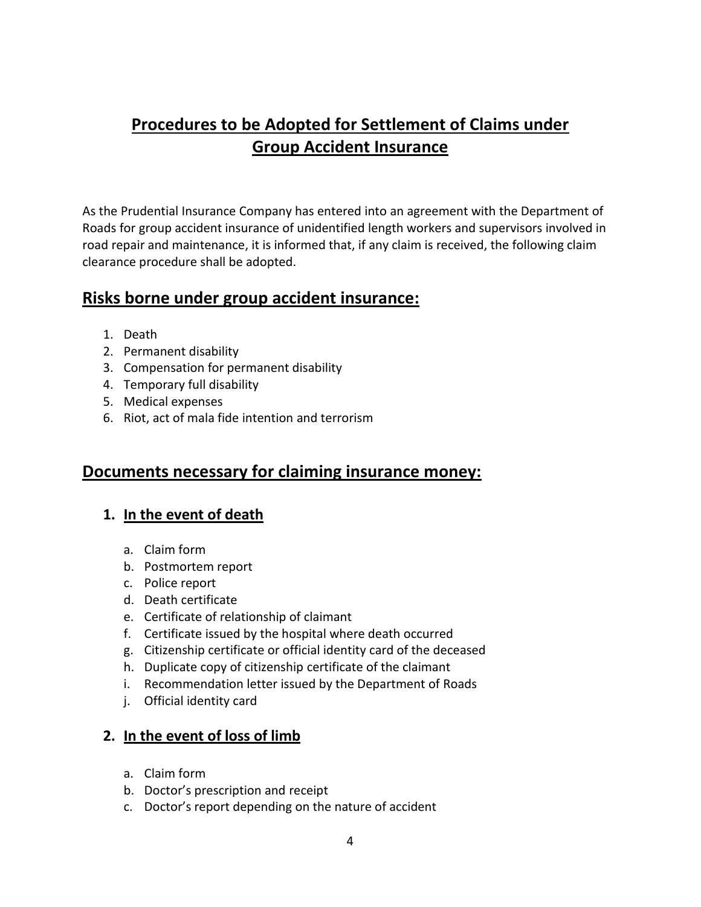# **Procedures to be Adopted for Settlement of Claims under Group Accident Insurance**

As the Prudential Insurance Company has entered into an agreement with the Department of Roads for group accident insurance of unidentified length workers and supervisors involved in road repair and maintenance, it is informed that, if any claim is received, the following claim clearance procedure shall be adopted.

## **Risks borne under group accident insurance:**

- 1. Death
- 2. Permanent disability
- 3. Compensation for permanent disability
- 4. Temporary full disability
- 5. Medical expenses
- 6. Riot, act of mala fide intention and terrorism

## **Documents necessary for claiming insurance money:**

#### **1. In the event of death**

- a. Claim form
- b. Postmortem report
- c. Police report
- d. Death certificate
- e. Certificate of relationship of claimant
- f. Certificate issued by the hospital where death occurred
- g. Citizenship certificate or official identity card of the deceased
- h. Duplicate copy of citizenship certificate of the claimant
- i. Recommendation letter issued by the Department of Roads
- j. Official identity card

#### **2. In the event of loss of limb**

- a. Claim form
- b. Doctor's prescription and receipt
- c. Doctor's report depending on the nature of accident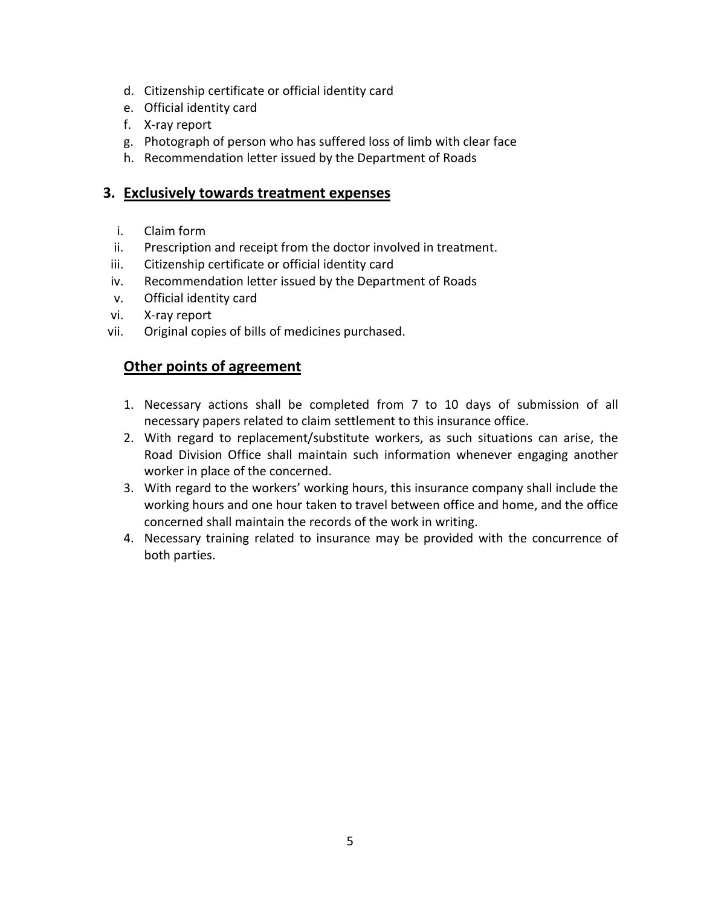- d. Citizenship certificate or official identity card
- e. Official identity card
- f. X-ray report
- g. Photograph of person who has suffered loss of limb with clear face
- h. Recommendation letter issued by the Department of Roads

#### **3. Exclusively towards treatment expenses**

- i. Claim form
- ii. Prescription and receipt from the doctor involved in treatment.
- iii. Citizenship certificate or official identity card
- iv. Recommendation letter issued by the Department of Roads
- v. Official identity card
- vi. X-ray report
- vii. Original copies of bills of medicines purchased.

#### **Other points of agreement**

- 1. Necessary actions shall be completed from 7 to 10 days of submission of all necessary papers related to claim settlement to this insurance office.
- 2. With regard to replacement/substitute workers, as such situations can arise, the Road Division Office shall maintain such information whenever engaging another worker in place of the concerned.
- 3. With regard to the workers' working hours, this insurance company shall include the working hours and one hour taken to travel between office and home, and the office concerned shall maintain the records of the work in writing.
- 4. Necessary training related to insurance may be provided with the concurrence of both parties.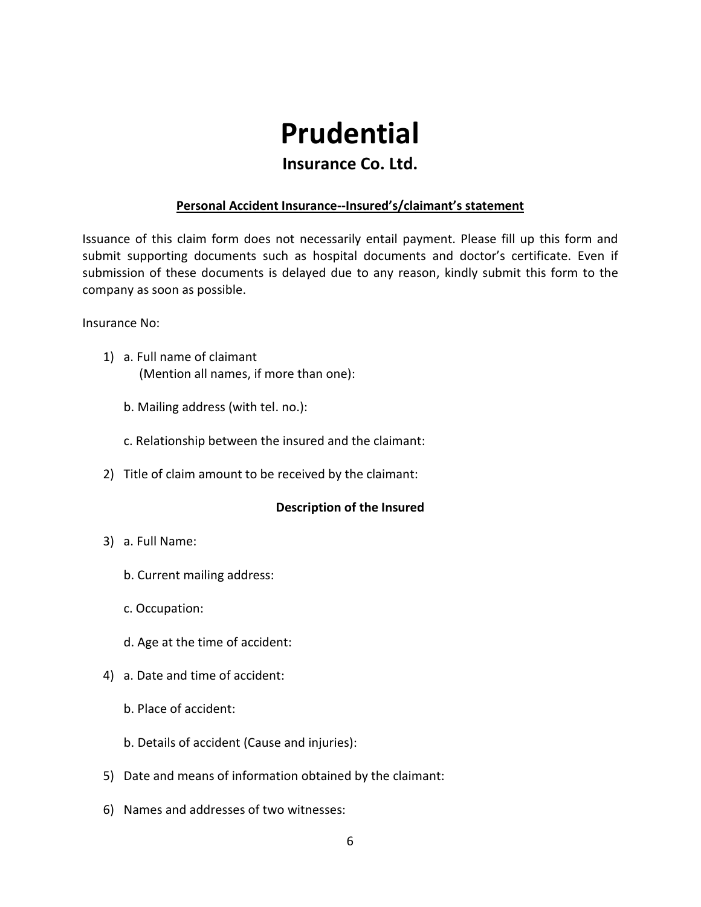# **Prudential**

### **Insurance Co. Ltd.**

#### **Personal Accident Insurance--Insured's/claimant's statement**

Issuance of this claim form does not necessarily entail payment. Please fill up this form and submit supporting documents such as hospital documents and doctor's certificate. Even if submission of these documents is delayed due to any reason, kindly submit this form to the company as soon as possible.

Insurance No:

- 1) a. Full name of claimant (Mention all names, if more than one):
	- b. Mailing address (with tel. no.):
	- c. Relationship between the insured and the claimant:
- 2) Title of claim amount to be received by the claimant:

#### **Description of the Insured**

- 3) a. Full Name:
	- b. Current mailing address:
	- c. Occupation:
	- d. Age at the time of accident:
- 4) a. Date and time of accident:
	- b. Place of accident:
	- b. Details of accident (Cause and injuries):
- 5) Date and means of information obtained by the claimant:
- 6) Names and addresses of two witnesses: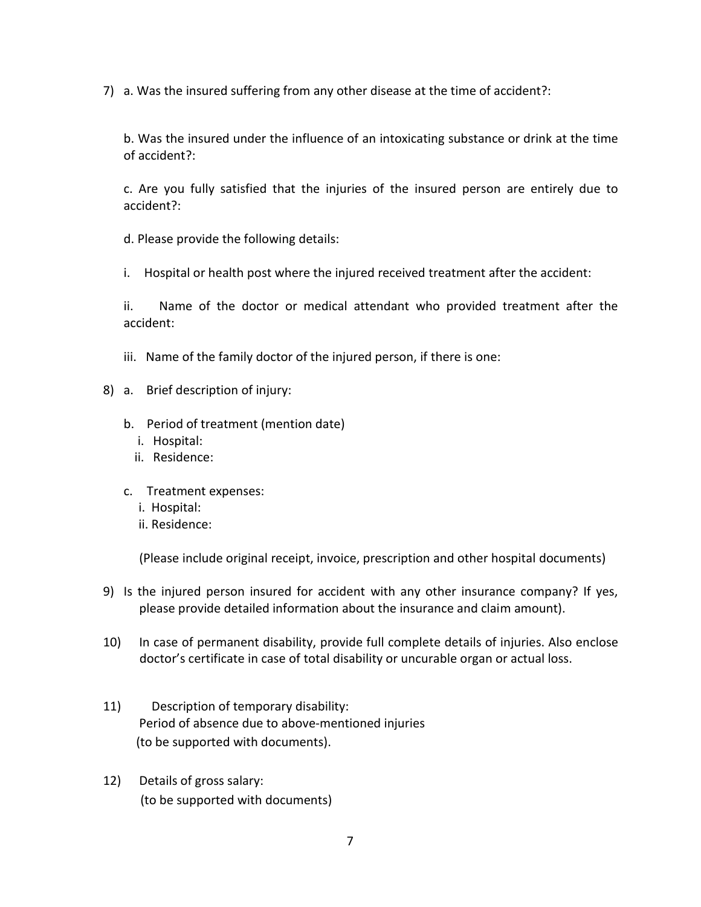7) a. Was the insured suffering from any other disease at the time of accident?:

b. Was the insured under the influence of an intoxicating substance or drink at the time of accident?:

c. Are you fully satisfied that the injuries of the insured person are entirely due to accident?:

d. Please provide the following details:

i. Hospital or health post where the injured received treatment after the accident:

ii. Name of the doctor or medical attendant who provided treatment after the accident:

- iii. Name of the family doctor of the injured person, if there is one:
- 8) a. Brief description of injury:
	- b. Period of treatment (mention date)
		- i. Hospital:
		- ii. Residence:
	- c. Treatment expenses:
		- i. Hospital:
		- ii. Residence:

(Please include original receipt, invoice, prescription and other hospital documents)

- 9) Is the injured person insured for accident with any other insurance company? If yes, please provide detailed information about the insurance and claim amount).
- 10) In case of permanent disability, provide full complete details of injuries. Also enclose doctor's certificate in case of total disability or uncurable organ or actual loss.
- 11) Description of temporary disability: Period of absence due to above-mentioned injuries (to be supported with documents).
- 12) Details of gross salary: (to be supported with documents)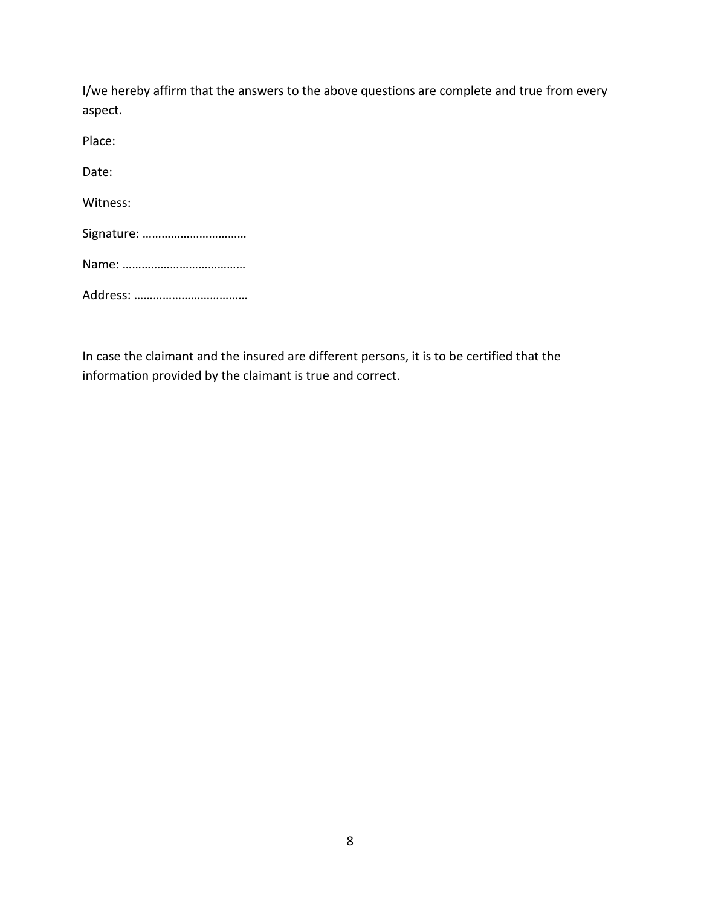| I/we hereby affirm that the answers to the above questions are complete and true from every<br>aspect. |
|--------------------------------------------------------------------------------------------------------|
| Place:                                                                                                 |
| Date:                                                                                                  |
| Witness:                                                                                               |
|                                                                                                        |
|                                                                                                        |
|                                                                                                        |
|                                                                                                        |

In case the claimant and the insured are different persons, it is to be certified that the information provided by the claimant is true and correct.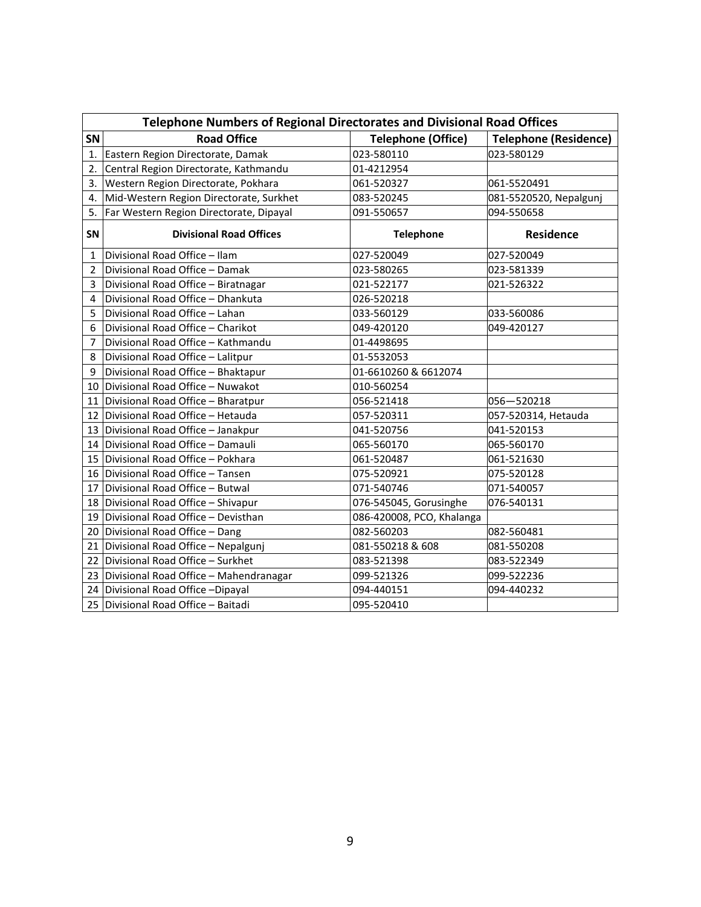| <b>Telephone Numbers of Regional Directorates and Divisional Road Offices</b> |                                           |                           |                              |  |  |  |  |  |  |
|-------------------------------------------------------------------------------|-------------------------------------------|---------------------------|------------------------------|--|--|--|--|--|--|
| SN                                                                            | <b>Road Office</b>                        | <b>Telephone (Office)</b> | <b>Telephone (Residence)</b> |  |  |  |  |  |  |
| $\mathbf{1}$                                                                  | Eastern Region Directorate, Damak         | 023-580110                | 023-580129                   |  |  |  |  |  |  |
| 2.                                                                            | Central Region Directorate, Kathmandu     | 01-4212954                |                              |  |  |  |  |  |  |
| 3.                                                                            | Western Region Directorate, Pokhara       | 061-520327                | 061-5520491                  |  |  |  |  |  |  |
| 4.                                                                            | Mid-Western Region Directorate, Surkhet   | 083-520245                | 081-5520520, Nepalgunj       |  |  |  |  |  |  |
| 5.                                                                            | Far Western Region Directorate, Dipayal   | 091-550657                | 094-550658                   |  |  |  |  |  |  |
| <b>SN</b>                                                                     | <b>Divisional Road Offices</b>            | <b>Telephone</b>          | <b>Residence</b>             |  |  |  |  |  |  |
| $\mathbf{1}$                                                                  | Divisional Road Office - Ilam             | 027-520049                | 027-520049                   |  |  |  |  |  |  |
| 2                                                                             | Divisional Road Office - Damak            | 023-580265                | 023-581339                   |  |  |  |  |  |  |
| $\overline{3}$                                                                | Divisional Road Office - Biratnagar       | 021-522177                | 021-526322                   |  |  |  |  |  |  |
| $\overline{4}$                                                                | Divisional Road Office - Dhankuta         | 026-520218                |                              |  |  |  |  |  |  |
| 5                                                                             | Divisional Road Office - Lahan            | 033-560129                | 033-560086                   |  |  |  |  |  |  |
| 6                                                                             | Divisional Road Office - Charikot         | 049-420120                | 049-420127                   |  |  |  |  |  |  |
| 7                                                                             | Divisional Road Office - Kathmandu        | 01-4498695                |                              |  |  |  |  |  |  |
| 8                                                                             | Divisional Road Office - Lalitpur         | 01-5532053                |                              |  |  |  |  |  |  |
| 9                                                                             | Divisional Road Office - Bhaktapur        | 01-6610260 & 6612074      |                              |  |  |  |  |  |  |
|                                                                               | 10 Divisional Road Office - Nuwakot       | 010-560254                |                              |  |  |  |  |  |  |
| 11                                                                            | Divisional Road Office - Bharatpur        | 056-521418                | 056-520218                   |  |  |  |  |  |  |
|                                                                               | 12 Divisional Road Office - Hetauda       | 057-520311                | 057-520314, Hetauda          |  |  |  |  |  |  |
|                                                                               | 13 Divisional Road Office - Janakpur      | 041-520756                | 041-520153                   |  |  |  |  |  |  |
|                                                                               | 14 Divisional Road Office - Damauli       | 065-560170                | 065-560170                   |  |  |  |  |  |  |
|                                                                               | 15 Divisional Road Office - Pokhara       | 061-520487                | 061-521630                   |  |  |  |  |  |  |
|                                                                               | 16 Divisional Road Office - Tansen        | 075-520921                | 075-520128                   |  |  |  |  |  |  |
| 17                                                                            | Divisional Road Office - Butwal           | 071-540746                | 071-540057                   |  |  |  |  |  |  |
|                                                                               | 18 Divisional Road Office - Shivapur      | 076-545045, Gorusinghe    | 076-540131                   |  |  |  |  |  |  |
|                                                                               | 19 Divisional Road Office - Devisthan     | 086-420008, PCO, Khalanga |                              |  |  |  |  |  |  |
|                                                                               | 20 Divisional Road Office - Dang          | 082-560203                | 082-560481                   |  |  |  |  |  |  |
|                                                                               | 21 Divisional Road Office - Nepalgunj     | 081-550218 & 608          | 081-550208                   |  |  |  |  |  |  |
|                                                                               | 22 Divisional Road Office - Surkhet       | 083-521398                | 083-522349                   |  |  |  |  |  |  |
|                                                                               | 23 Divisional Road Office - Mahendranagar | 099-521326                | 099-522236                   |  |  |  |  |  |  |
|                                                                               | 24 Divisional Road Office - Dipayal       | 094-440151                | 094-440232                   |  |  |  |  |  |  |
|                                                                               | 25 Divisional Road Office - Baitadi       | 095-520410                |                              |  |  |  |  |  |  |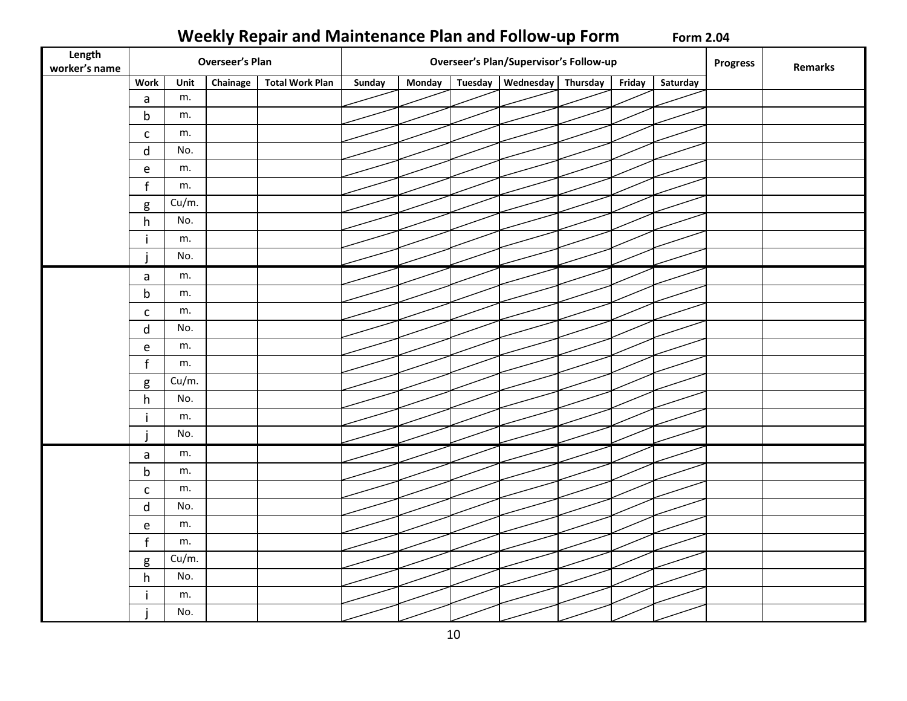# **Weekly Repair and Maintenance Plan and Follow-up Form Form 2.04**

| Length<br>worker's name | <b>Overseer's Plan</b><br><b>Overseer's Plan/Supervisor's Follow-up</b> |       |          |                        |        |               |         | Progress           | Remarks |          |  |  |
|-------------------------|-------------------------------------------------------------------------|-------|----------|------------------------|--------|---------------|---------|--------------------|---------|----------|--|--|
|                         | <b>Work</b>                                                             | Unit  | Chainage | <b>Total Work Plan</b> | Sunday | <b>Monday</b> | Tuesday | Wednesday Thursday | Friday  | Saturday |  |  |
|                         | $\mathsf a$                                                             | m.    |          |                        |        |               |         |                    |         |          |  |  |
|                         | $\mathsf b$                                                             | m.    |          |                        |        |               |         |                    |         |          |  |  |
|                         | $\mathsf{C}$                                                            | m.    |          |                        |        |               |         |                    |         |          |  |  |
|                         | ${\sf d}$                                                               | No.   |          |                        |        |               |         |                    |         |          |  |  |
|                         | $\mathsf e$                                                             | m.    |          |                        |        |               |         |                    |         |          |  |  |
|                         | $\mathbf{f}$                                                            | m.    |          |                        |        |               |         |                    |         |          |  |  |
|                         | g                                                                       | Cu/m. |          |                        |        |               |         |                    |         |          |  |  |
|                         | h                                                                       | No.   |          |                        |        |               |         |                    |         |          |  |  |
|                         | $\mathbf{i}$                                                            | m.    |          |                        |        |               |         |                    |         |          |  |  |
|                         |                                                                         | No.   |          |                        |        |               |         |                    |         |          |  |  |
|                         | $\mathsf{a}$                                                            | m.    |          |                        |        |               |         |                    |         |          |  |  |
|                         | $\mathsf b$                                                             | m.    |          |                        |        |               |         |                    |         |          |  |  |
|                         | $\mathsf{C}$                                                            | m.    |          |                        |        |               |         |                    |         |          |  |  |
|                         | ${\sf d}$                                                               | No.   |          |                        |        |               |         |                    |         |          |  |  |
|                         | ${\bf e}$                                                               | m.    |          |                        |        |               |         |                    |         |          |  |  |
|                         | $\mathbf{f}$                                                            | m.    |          |                        |        |               |         |                    |         |          |  |  |
|                         | $\sf g$                                                                 | Cu/m. |          |                        |        |               |         |                    |         |          |  |  |
|                         | h                                                                       | No.   |          |                        |        |               |         |                    |         |          |  |  |
|                         | j                                                                       | m.    |          |                        |        |               |         |                    |         |          |  |  |
|                         |                                                                         | No.   |          |                        |        |               |         |                    |         |          |  |  |
|                         | $\mathsf a$                                                             | m.    |          |                        |        |               |         |                    |         |          |  |  |
|                         | $\mathsf b$                                                             | m.    |          |                        |        |               |         |                    |         |          |  |  |
|                         | $\mathsf{C}$                                                            | m.    |          |                        |        |               |         |                    |         |          |  |  |
|                         | $\mathsf{d}$                                                            | No.   |          |                        |        |               |         |                    |         |          |  |  |
|                         | $\mathsf e$                                                             | m.    |          |                        |        |               |         |                    |         |          |  |  |
|                         | $\mathbf{f}$                                                            | m.    |          |                        |        |               |         |                    |         |          |  |  |
|                         | g                                                                       | Cu/m. |          |                        |        |               |         |                    |         |          |  |  |
|                         | h                                                                       | No.   |          |                        |        |               |         |                    |         |          |  |  |
|                         |                                                                         | m.    |          |                        |        |               |         |                    |         |          |  |  |
|                         |                                                                         | No.   |          |                        |        |               |         |                    |         |          |  |  |